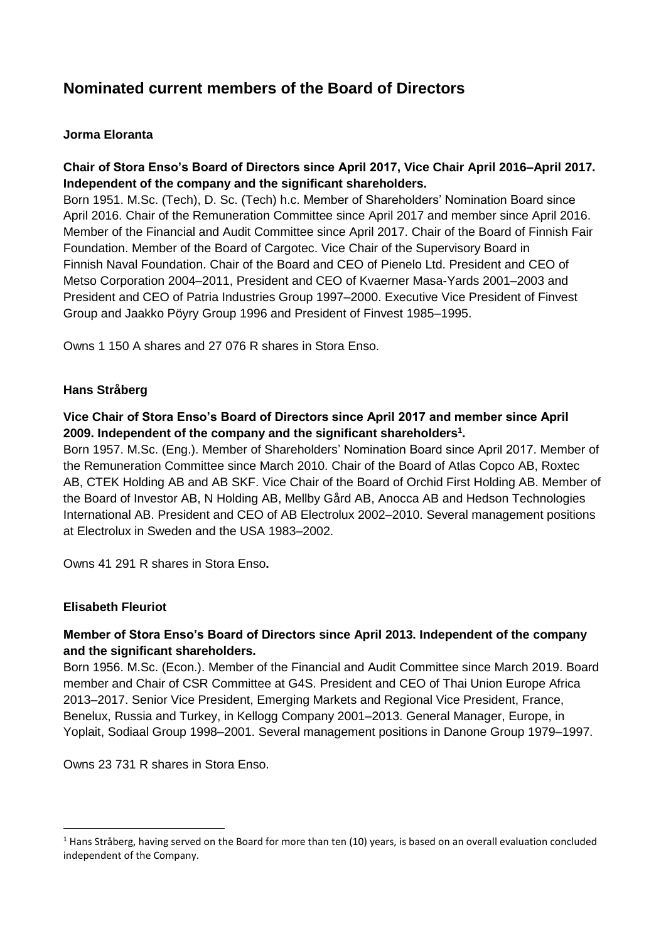# **Nominated current members of the Board of Directors**

## **Jorma Eloranta**

## **Chair of Stora Enso's Board of Directors since April 2017, Vice Chair April 2016–April 2017. Independent of the company and the significant shareholders.**

Born 1951. M.Sc. (Tech), D. Sc. (Tech) h.c. Member of Shareholders' Nomination Board since April 2016. Chair of the Remuneration Committee since April 2017 and member since April 2016. Member of the Financial and Audit Committee since April 2017. Chair of the Board of Finnish Fair Foundation. Member of the Board of Cargotec. Vice Chair of the Supervisory Board in Finnish Naval Foundation. Chair of the Board and CEO of Pienelo Ltd. President and CEO of Metso Corporation 2004–2011, President and CEO of Kvaerner Masa-Yards 2001–2003 and President and CEO of Patria Industries Group 1997–2000. Executive Vice President of Finvest Group and Jaakko Pöyry Group 1996 and President of Finvest 1985–1995.

Owns 1 150 A shares and 27 076 R shares in Stora Enso.

#### **Hans Stråberg**

## **Vice Chair of Stora Enso's Board of Directors since April 2017 and member since April 2009. Independent of the company and the significant shareholders<sup>1</sup> .**

Born 1957. M.Sc. (Eng.). Member of Shareholders' Nomination Board since April 2017. Member of the Remuneration Committee since March 2010. Chair of the Board of Atlas Copco AB, Roxtec AB, CTEK Holding AB and AB SKF. Vice Chair of the Board of Orchid First Holding AB. Member of the Board of Investor AB, N Holding AB, Mellby Gård AB, Anocca AB and Hedson Technologies International AB. President and CEO of AB Electrolux 2002–2010. Several management positions at Electrolux in Sweden and the USA 1983–2002.

Owns 41 291 R shares in Stora Enso**.**

#### **Elisabeth Fleuriot**

**.** 

## **Member of Stora Enso's Board of Directors since April 2013. Independent of the company and the significant shareholders.**

Born 1956. M.Sc. (Econ.). Member of the Financial and Audit Committee since March 2019. Board member and Chair of CSR Committee at G4S. President and CEO of Thai Union Europe Africa 2013–2017. Senior Vice President, Emerging Markets and Regional Vice President, France, Benelux, Russia and Turkey, in Kellogg Company 2001–2013. General Manager, Europe, in Yoplait, Sodiaal Group 1998–2001. Several management positions in Danone Group 1979–1997.

Owns 23 731 R shares in Stora Enso.

 $<sup>1</sup>$  Hans Stråberg, having served on the Board for more than ten (10) years, is based on an overall evaluation concluded</sup> independent of the Company.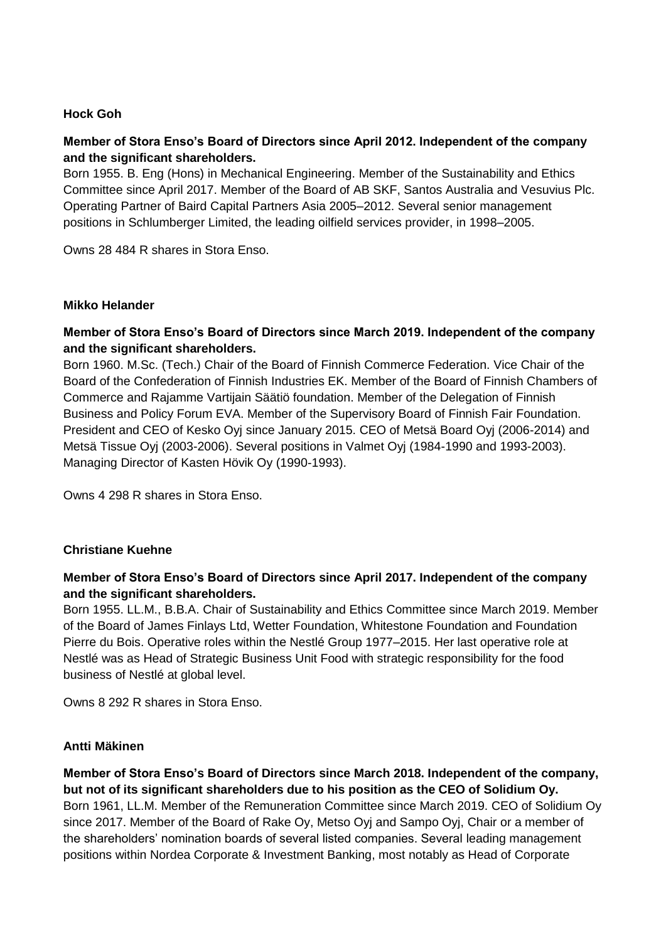### **Hock Goh**

## **Member of Stora Enso's Board of Directors since April 2012. Independent of the company and the significant shareholders.**

Born 1955. B. Eng (Hons) in Mechanical Engineering. Member of the Sustainability and Ethics Committee since April 2017. Member of the Board of AB SKF, Santos Australia and Vesuvius Plc. Operating Partner of Baird Capital Partners Asia 2005–2012. Several senior management positions in Schlumberger Limited, the leading oilfield services provider, in 1998–2005.

Owns 28 484 R shares in Stora Enso.

#### **Mikko Helander**

### **Member of Stora Enso's Board of Directors since March 2019. Independent of the company and the significant shareholders.**

Born 1960. M.Sc. (Tech.) Chair of the Board of Finnish Commerce Federation. Vice Chair of the Board of the Confederation of Finnish Industries EK. Member of the Board of Finnish Chambers of Commerce and Rajamme Vartijain Säätiö foundation. Member of the Delegation of Finnish Business and Policy Forum EVA. Member of the Supervisory Board of Finnish Fair Foundation. President and CEO of Kesko Oyj since January 2015. CEO of Metsä Board Oyj (2006-2014) and Metsä Tissue Oyj (2003-2006). Several positions in Valmet Oyj (1984-1990 and 1993-2003). Managing Director of Kasten Hövik Oy (1990-1993).

Owns 4 298 R shares in Stora Enso.

#### **Christiane Kuehne**

## **Member of Stora Enso's Board of Directors since April 2017. Independent of the company and the significant shareholders.**

Born 1955. LL.M., B.B.A. Chair of Sustainability and Ethics Committee since March 2019. Member of the Board of James Finlays Ltd, Wetter Foundation, Whitestone Foundation and Foundation Pierre du Bois. Operative roles within the Nestlé Group 1977–2015. Her last operative role at Nestlé was as Head of Strategic Business Unit Food with strategic responsibility for the food business of Nestlé at global level.

Owns 8 292 R shares in Stora Enso.

#### **Antti Mäkinen**

**Member of Stora Enso's Board of Directors since March 2018. Independent of the company, but not of its significant shareholders due to his position as the CEO of Solidium Oy.** Born 1961, LL.M. Member of the Remuneration Committee since March 2019. CEO of Solidium Oy since 2017. Member of the Board of Rake Oy, Metso Oyj and Sampo Oyj, Chair or a member of the shareholders' nomination boards of several listed companies. Several leading management positions within Nordea Corporate & Investment Banking, most notably as Head of Corporate